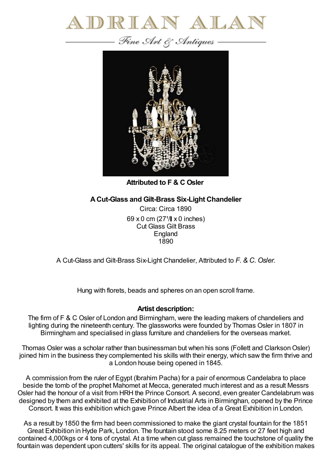



**Attributed to F & C Osler**

## **ACut-Glass and Gilt-Brass Six-Light Chandelier**

Circa: Circa 1890 69 x 0 cm  $(27^{1}/\mathbf{I} \times 0)$  inches) Cut Glass Gilt Brass England 1890

A Cut-Glass and Gilt-Brass Six-Light Chandelier, Attributed to *F. & C. Osler.*

Hung with florets, beads and spheres on an open scroll frame.

## **Artist description:**

The firm of F & C Osler of London and Birmingham, were the leading makers of chandeliers and lighting during the nineteenth century. The glassworks were founded by Thomas Osler in 1807 in Birmingham and specialised in glass furniture and chandeliers for the overseas market.

Thomas Osler was a scholar rather than businessman but when his sons (Follett and Clarkson Osler) joined him in the business they complemented his skills with their energy, which saw the firm thrive and a London house being opened in 1845.

A commission from the ruler of Egypt (Ibrahim Pacha) for a pair of enormous Candelabra to place beside the tomb of the prophet Mahomet at Mecca, generated much interest and as a result Messrs Osler had the honour of a visit from HRH the Prince Consort. A second, even greater Candelabrum was designed by them and exhibited at the Exhibition of Industrial Arts in Birminghan, opened by the Prince Consort. It was this exhibition which gave Prince Albert the idea of a Great Exhibition in London.

As a result by 1850 the firm had been commissioned to make the giant crystal fountain for the 1851 Great Exhibition in Hyde Park, London. The fountain stood some 8.25 meters or 27 feet high and contained 4,000kgs or 4 tons of crystal. At a time when cut glass remained the touchstone of quality the fountain was dependent upon cutters' skills for its appeal. The original catalogue of the exhibition makes